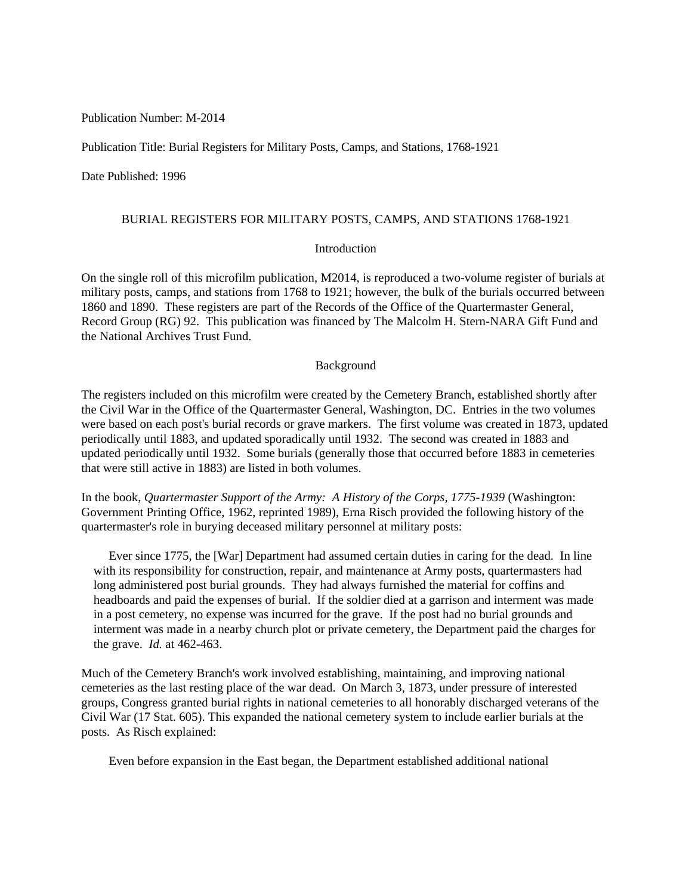Publication Number: M-2014

Publication Title: Burial Registers for Military Posts, Camps, and Stations, 1768-1921

Date Published: 1996

## BURIAL REGISTERS FOR MILITARY POSTS, CAMPS, AND STATIONS 1768-1921

# Introduction

On the single roll of this microfilm publication, M2014, is reproduced a two-volume register of burials at military posts, camps, and stations from 1768 to 1921; however, the bulk of the burials occurred between 1860 and 1890. These registers are part of the Records of the Office of the Quartermaster General, Record Group (RG) 92. This publication was financed by The Malcolm H. Stern-NARA Gift Fund and the National Archives Trust Fund.

## Background

The registers included on this microfilm were created by the Cemetery Branch, established shortly after the Civil War in the Office of the Quartermaster General, Washington, DC. Entries in the two volumes were based on each post's burial records or grave markers. The first volume was created in 1873, updated periodically until 1883, and updated sporadically until 1932. The second was created in 1883 and updated periodically until 1932. Some burials (generally those that occurred before 1883 in cemeteries that were still active in 1883) are listed in both volumes.

In the book, *Quartermaster Support of the Army: A History of the Corps, 1775-1939* (Washington: Government Printing Office, 1962, reprinted 1989), Erna Risch provided the following history of the quartermaster's role in burying deceased military personnel at military posts:

 Ever since 1775, the [War] Department had assumed certain duties in caring for the dead. In line with its responsibility for construction, repair, and maintenance at Army posts, quartermasters had long administered post burial grounds. They had always furnished the material for coffins and headboards and paid the expenses of burial. If the soldier died at a garrison and interment was made in a post cemetery, no expense was incurred for the grave. If the post had no burial grounds and interment was made in a nearby church plot or private cemetery, the Department paid the charges for the grave. *Id.* at 462-463.

Much of the Cemetery Branch's work involved establishing, maintaining, and improving national cemeteries as the last resting place of the war dead. On March 3, 1873, under pressure of interested groups, Congress granted burial rights in national cemeteries to all honorably discharged veterans of the Civil War (17 Stat. 605). This expanded the national cemetery system to include earlier burials at the posts. As Risch explained:

Even before expansion in the East began, the Department established additional national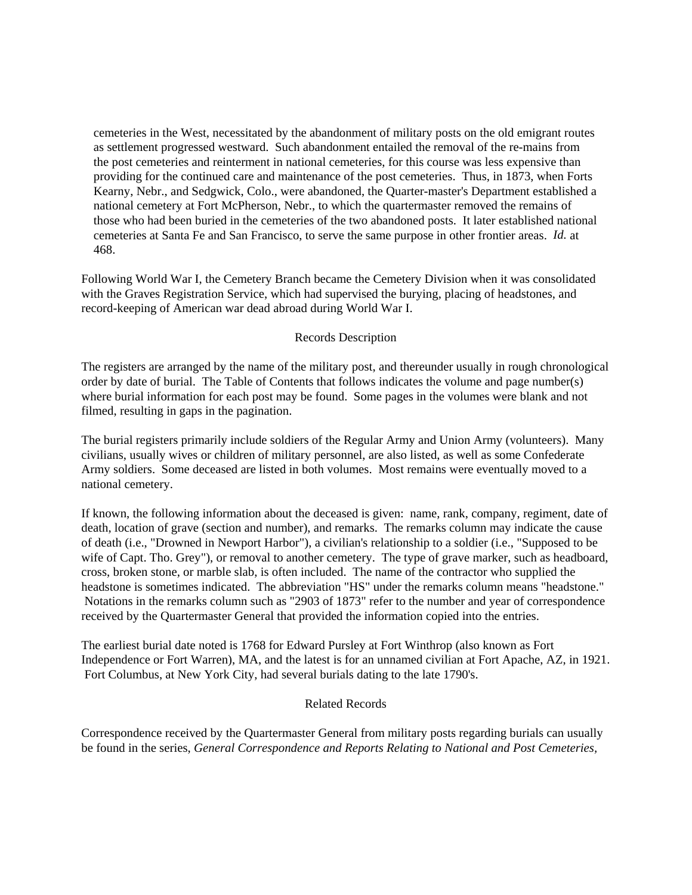cemeteries in the West, necessitated by the abandonment of military posts on the old emigrant routes as settlement progressed westward. Such abandonment entailed the removal of the re-mains from the post cemeteries and reinterment in national cemeteries, for this course was less expensive than providing for the continued care and maintenance of the post cemeteries. Thus, in 1873, when Forts Kearny, Nebr., and Sedgwick, Colo., were abandoned, the Quarter-master's Department established a national cemetery at Fort McPherson, Nebr., to which the quartermaster removed the remains of those who had been buried in the cemeteries of the two abandoned posts. It later established national cemeteries at Santa Fe and San Francisco, to serve the same purpose in other frontier areas. *Id.* at 468.

Following World War I, the Cemetery Branch became the Cemetery Division when it was consolidated with the Graves Registration Service, which had supervised the burying, placing of headstones, and record-keeping of American war dead abroad during World War I.

### Records Description

The registers are arranged by the name of the military post, and thereunder usually in rough chronological order by date of burial. The Table of Contents that follows indicates the volume and page number(s) where burial information for each post may be found. Some pages in the volumes were blank and not filmed, resulting in gaps in the pagination.

The burial registers primarily include soldiers of the Regular Army and Union Army (volunteers). Many civilians, usually wives or children of military personnel, are also listed, as well as some Confederate Army soldiers. Some deceased are listed in both volumes. Most remains were eventually moved to a national cemetery.

If known, the following information about the deceased is given: name, rank, company, regiment, date of death, location of grave (section and number), and remarks. The remarks column may indicate the cause of death (i.e., "Drowned in Newport Harbor"), a civilian's relationship to a soldier (i.e., "Supposed to be wife of Capt. Tho. Grey"), or removal to another cemetery. The type of grave marker, such as headboard, cross, broken stone, or marble slab, is often included. The name of the contractor who supplied the headstone is sometimes indicated. The abbreviation "HS" under the remarks column means "headstone." Notations in the remarks column such as "2903 of 1873" refer to the number and year of correspondence received by the Quartermaster General that provided the information copied into the entries.

The earliest burial date noted is 1768 for Edward Pursley at Fort Winthrop (also known as Fort Independence or Fort Warren), MA, and the latest is for an unnamed civilian at Fort Apache, AZ, in 1921. Fort Columbus, at New York City, had several burials dating to the late 1790's.

# Related Records

Correspondence received by the Quartermaster General from military posts regarding burials can usually be found in the series, *General Correspondence and Reports Relating to National and Post Cemeteries,*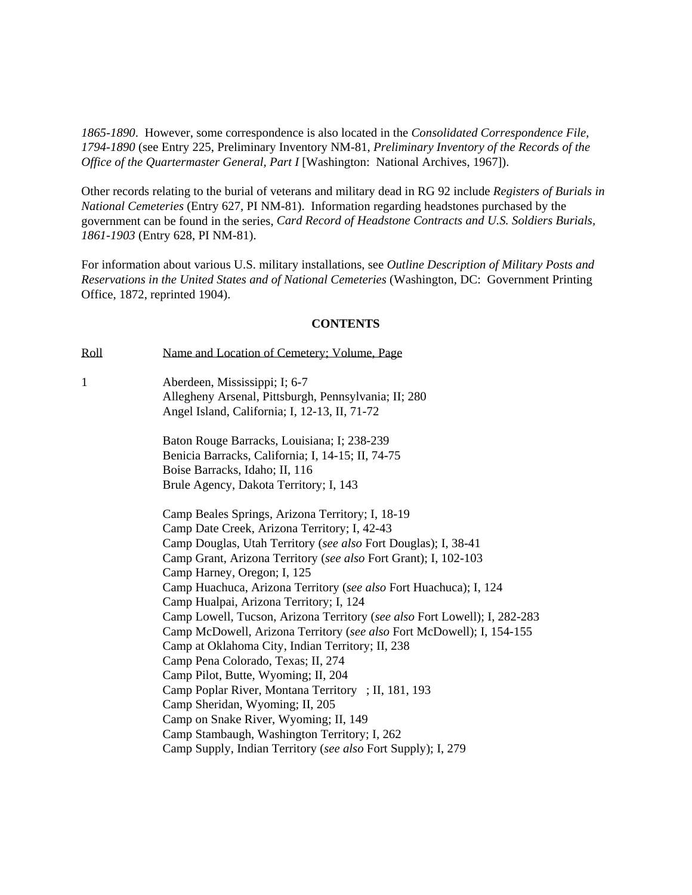*1865-1890*. However, some correspondence is also located in the *Consolidated Correspondence File, 1794-1890* (see Entry 225, Preliminary Inventory NM-81, *Preliminary Inventory of the Records of the Office of the Quartermaster General, Part I* [Washington: National Archives, 1967]).

Other records relating to the burial of veterans and military dead in RG 92 include *Registers of Burials in National Cemeteries* (Entry 627, PI NM-81). Information regarding headstones purchased by the government can be found in the series, *Card Record of Headstone Contracts and U.S. Soldiers Burials, 1861-1903* (Entry 628, PI NM-81).

For information about various U.S. military installations, see *Outline Description of Military Posts and Reservations in the United States and of National Cemeteries* (Washington, DC: Government Printing Office, 1872, reprinted 1904).

### **CONTENTS**

| Roll         | Name and Location of Cemetery; Volume, Page                               |
|--------------|---------------------------------------------------------------------------|
| $\mathbf{1}$ | Aberdeen, Mississippi; I; 6-7                                             |
|              | Allegheny Arsenal, Pittsburgh, Pennsylvania; II; 280                      |
|              | Angel Island, California; I, 12-13, II, 71-72                             |
|              | Baton Rouge Barracks, Louisiana; I; 238-239                               |
|              | Benicia Barracks, California; I, 14-15; II, 74-75                         |
|              | Boise Barracks, Idaho; II, 116                                            |
|              | Brule Agency, Dakota Territory; I, 143                                    |
|              | Camp Beales Springs, Arizona Territory; I, 18-19                          |
|              | Camp Date Creek, Arizona Territory; I, 42-43                              |
|              | Camp Douglas, Utah Territory (see also Fort Douglas); I, 38-41            |
|              | Camp Grant, Arizona Territory (see also Fort Grant); I, 102-103           |
|              | Camp Harney, Oregon; I, 125                                               |
|              | Camp Huachuca, Arizona Territory (see also Fort Huachuca); I, 124         |
|              | Camp Hualpai, Arizona Territory; I, 124                                   |
|              | Camp Lowell, Tucson, Arizona Territory (see also Fort Lowell); I, 282-283 |
|              | Camp McDowell, Arizona Territory (see also Fort McDowell); I, 154-155     |
|              | Camp at Oklahoma City, Indian Territory; II, 238                          |
|              | Camp Pena Colorado, Texas; II, 274                                        |
|              | Camp Pilot, Butte, Wyoming; II, 204                                       |
|              | Camp Poplar River, Montana Territory ; II, 181, 193                       |
|              | Camp Sheridan, Wyoming; II, 205                                           |
|              | Camp on Snake River, Wyoming; II, 149                                     |
|              | Camp Stambaugh, Washington Territory; I, 262                              |
|              | Camp Supply, Indian Territory (see also Fort Supply); I, 279              |
|              |                                                                           |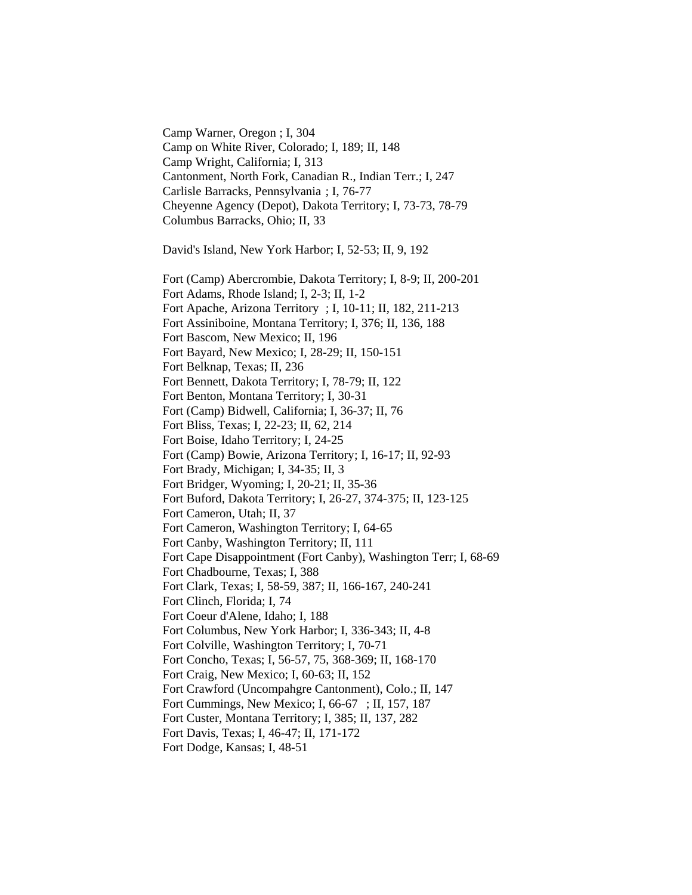Camp Warner, Oregon ; I, 304 Camp on White River, Colorado; I, 189; II, 148 Camp Wright, California; I, 313 Cantonment, North Fork, Canadian R., Indian Terr.; I, 247 Carlisle Barracks, Pennsylvania ; I, 76-77 Cheyenne Agency (Depot), Dakota Territory; I, 73-73, 78-79 Columbus Barracks, Ohio; II, 33

David's Island, New York Harbor; I, 52-53; II, 9, 192

Fort (Camp) Abercrombie, Dakota Territory; I, 8-9; II, 200-201 Fort Adams, Rhode Island; I, 2-3; II, 1-2 Fort Apache, Arizona Territory ; I, 10-11; II, 182, 211-213 Fort Assiniboine, Montana Territory; I, 376; II, 136, 188 Fort Bascom, New Mexico; II, 196 Fort Bayard, New Mexico; I, 28-29; II, 150-151 Fort Belknap, Texas; II, 236 Fort Bennett, Dakota Territory; I, 78-79; II, 122 Fort Benton, Montana Territory; I, 30-31 Fort (Camp) Bidwell, California; I, 36-37; II, 76 Fort Bliss, Texas; I, 22-23; II, 62, 214 Fort Boise, Idaho Territory; I, 24-25 Fort (Camp) Bowie, Arizona Territory; I, 16-17; II, 92-93 Fort Brady, Michigan; I, 34-35; II, 3 Fort Bridger, Wyoming; I, 20-21; II, 35-36 Fort Buford, Dakota Territory; I, 26-27, 374-375; II, 123-125 Fort Cameron, Utah; II, 37 Fort Cameron, Washington Territory; I, 64-65 Fort Canby, Washington Territory; II, 111 Fort Cape Disappointment (Fort Canby), Washington Terr; I, 68-69 Fort Chadbourne, Texas; I, 388 Fort Clark, Texas; I, 58-59, 387; II, 166-167, 240-241 Fort Clinch, Florida; I, 74 Fort Coeur d'Alene, Idaho; I, 188 Fort Columbus, New York Harbor; I, 336-343; II, 4-8 Fort Colville, Washington Territory; I, 70-71 Fort Concho, Texas; I, 56-57, 75, 368-369; II, 168-170 Fort Craig, New Mexico; I, 60-63; II, 152 Fort Crawford (Uncompahgre Cantonment), Colo.; II, 147 Fort Cummings, New Mexico; I, 66-67 ; II, 157, 187 Fort Custer, Montana Territory; I, 385; II, 137, 282 Fort Davis, Texas; I, 46-47; II, 171-172 Fort Dodge, Kansas; I, 48-51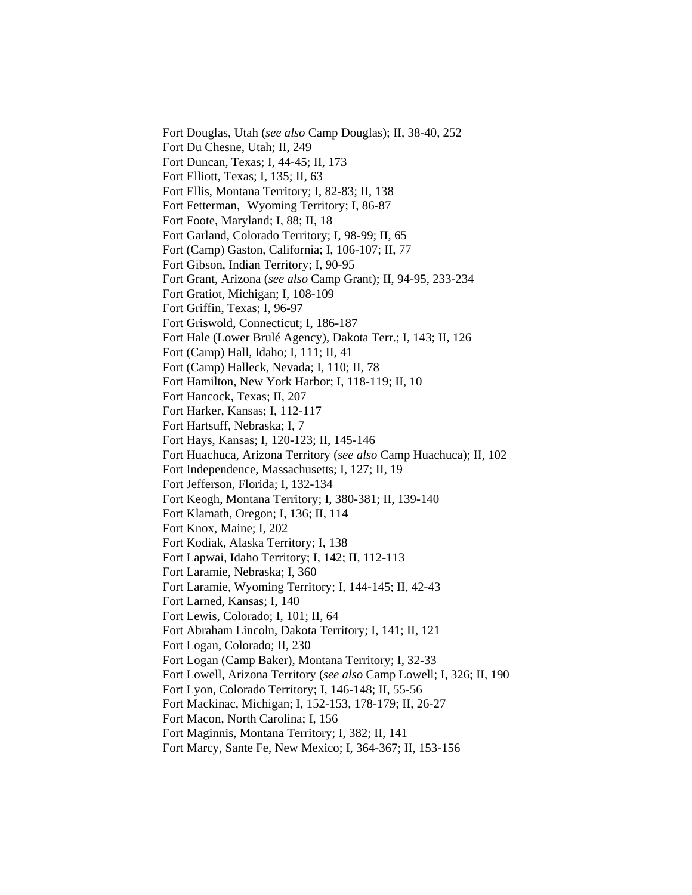Fort Douglas, Utah (*see also* Camp Douglas); II, 38-40, 252 Fort Du Chesne, Utah; II, 249 Fort Duncan, Texas; I, 44-45; II, 173 Fort Elliott, Texas; I, 135; II, 63 Fort Ellis, Montana Territory; I, 82-83; II, 138 Fort Fetterman, Wyoming Territory; I, 86-87 Fort Foote, Maryland; I, 88; II, 18 Fort Garland, Colorado Territory; I, 98-99; II, 65 Fort (Camp) Gaston, California; I, 106-107; II, 77 Fort Gibson, Indian Territory; I, 90-95 Fort Grant, Arizona (*see also* Camp Grant); II, 94-95, 233-234 Fort Gratiot, Michigan; I, 108-109 Fort Griffin, Texas; I, 96-97 Fort Griswold, Connecticut; I, 186-187 Fort Hale (Lower Brulé Agency), Dakota Terr.; I, 143; II, 126 Fort (Camp) Hall, Idaho; I, 111; II, 41 Fort (Camp) Halleck, Nevada; I, 110; II, 78 Fort Hamilton, New York Harbor; I, 118-119; II, 10 Fort Hancock, Texas; II, 207 Fort Harker, Kansas; I, 112-117 Fort Hartsuff, Nebraska; I, 7 Fort Hays, Kansas; I, 120-123; II, 145-146 Fort Huachuca, Arizona Territory (*see also* Camp Huachuca); II, 102 Fort Independence, Massachusetts; I, 127; II, 19 Fort Jefferson, Florida; I, 132-134 Fort Keogh, Montana Territory; I, 380-381; II, 139-140 Fort Klamath, Oregon; I, 136; II, 114 Fort Knox, Maine; I, 202 Fort Kodiak, Alaska Territory; I, 138 Fort Lapwai, Idaho Territory; I, 142; II, 112-113 Fort Laramie, Nebraska; I, 360 Fort Laramie, Wyoming Territory; I, 144-145; II, 42-43 Fort Larned, Kansas; I, 140 Fort Lewis, Colorado; I, 101; II, 64 Fort Abraham Lincoln, Dakota Territory; I, 141; II, 121 Fort Logan, Colorado; II, 230 Fort Logan (Camp Baker), Montana Territory; I, 32-33 Fort Lowell, Arizona Territory (*see also* Camp Lowell; I, 326; II, 190 Fort Lyon, Colorado Territory; I, 146-148; II, 55-56 Fort Mackinac, Michigan; I, 152-153, 178-179; II, 26-27 Fort Macon, North Carolina; I, 156 Fort Maginnis, Montana Territory; I, 382; II, 141 Fort Marcy, Sante Fe, New Mexico; I, 364-367; II, 153-156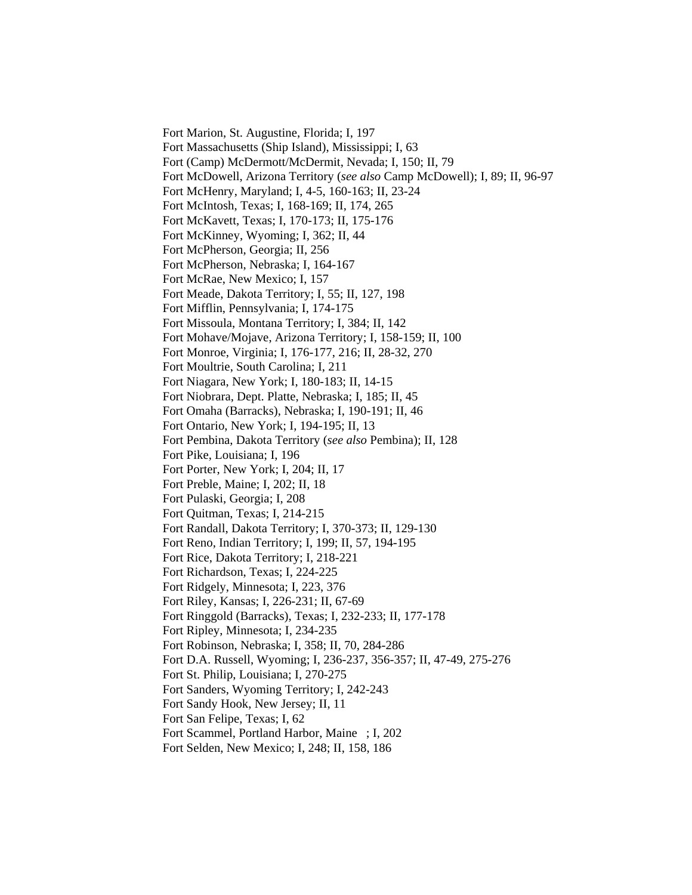Fort Marion, St. Augustine, Florida; I, 197 Fort Massachusetts (Ship Island), Mississippi; I, 63 Fort (Camp) McDermott/McDermit, Nevada; I, 150; II, 79 Fort McDowell, Arizona Territory (*see also* Camp McDowell); I, 89; II, 96-97 Fort McHenry, Maryland; I, 4-5, 160-163; II, 23-24 Fort McIntosh, Texas; I, 168-169; II, 174, 265 Fort McKavett, Texas; I, 170-173; II, 175-176 Fort McKinney, Wyoming; I, 362; II, 44 Fort McPherson, Georgia; II, 256 Fort McPherson, Nebraska; I, 164-167 Fort McRae, New Mexico; I, 157 Fort Meade, Dakota Territory; I, 55; II, 127, 198 Fort Mifflin, Pennsylvania; I, 174-175 Fort Missoula, Montana Territory; I, 384; II, 142 Fort Mohave/Mojave, Arizona Territory; I, 158-159; II, 100 Fort Monroe, Virginia; I, 176-177, 216; II, 28-32, 270 Fort Moultrie, South Carolina; I, 211 Fort Niagara, New York; I, 180-183; II, 14-15 Fort Niobrara, Dept. Platte, Nebraska; I, 185; II, 45 Fort Omaha (Barracks), Nebraska; I, 190-191; II, 46 Fort Ontario, New York; I, 194-195; II, 13 Fort Pembina, Dakota Territory (*see also* Pembina); II, 128 Fort Pike, Louisiana; I, 196 Fort Porter, New York; I, 204; II, 17 Fort Preble, Maine; I, 202; II, 18 Fort Pulaski, Georgia; I, 208 Fort Quitman, Texas; I, 214-215 Fort Randall, Dakota Territory; I, 370-373; II, 129-130 Fort Reno, Indian Territory; I, 199; II, 57, 194-195 Fort Rice, Dakota Territory; I, 218-221 Fort Richardson, Texas; I, 224-225 Fort Ridgely, Minnesota; I, 223, 376 Fort Riley, Kansas; I, 226-231; II, 67-69 Fort Ringgold (Barracks), Texas; I, 232-233; II, 177-178 Fort Ripley, Minnesota; I, 234-235 Fort Robinson, Nebraska; I, 358; II, 70, 284-286 Fort D.A. Russell, Wyoming; I, 236-237, 356-357; II, 47-49, 275-276 Fort St. Philip, Louisiana; I, 270-275 Fort Sanders, Wyoming Territory; I, 242-243 Fort Sandy Hook, New Jersey; II, 11 Fort San Felipe, Texas; I, 62 Fort Scammel, Portland Harbor, Maine ; I, 202 Fort Selden, New Mexico; I, 248; II, 158, 186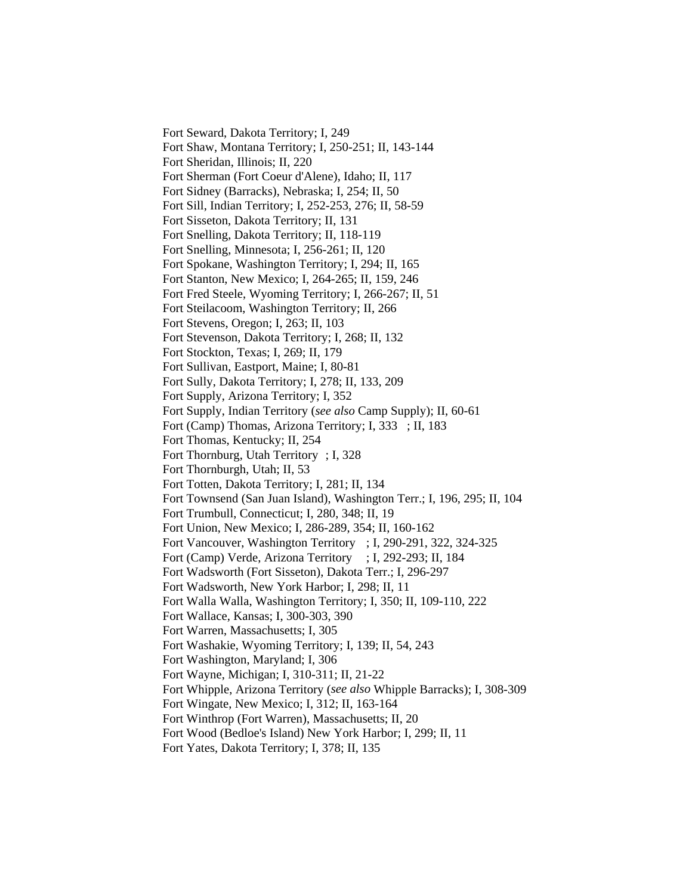Fort Seward, Dakota Territory; I, 249 Fort Shaw, Montana Territory; I, 250-251; II, 143-144 Fort Sheridan, Illinois; II, 220 Fort Sherman (Fort Coeur d'Alene), Idaho; II, 117 Fort Sidney (Barracks), Nebraska; I, 254; II, 50 Fort Sill, Indian Territory; I, 252-253, 276; II, 58-59 Fort Sisseton, Dakota Territory; II, 131 Fort Snelling, Dakota Territory; II, 118-119 Fort Snelling, Minnesota; I, 256-261; II, 120 Fort Spokane, Washington Territory; I, 294; II, 165 Fort Stanton, New Mexico; I, 264-265; II, 159, 246 Fort Fred Steele, Wyoming Territory; I, 266-267; II, 51 Fort Steilacoom, Washington Territory; II, 266 Fort Stevens, Oregon; I, 263; II, 103 Fort Stevenson, Dakota Territory; I, 268; II, 132 Fort Stockton, Texas; I, 269; II, 179 Fort Sullivan, Eastport, Maine; I, 80-81 Fort Sully, Dakota Territory; I, 278; II, 133, 209 Fort Supply, Arizona Territory; I, 352 Fort Supply, Indian Territory (*see also* Camp Supply); II, 60-61 Fort (Camp) Thomas, Arizona Territory; I, 333 ; II, 183 Fort Thomas, Kentucky; II, 254 Fort Thornburg, Utah Territory ; I, 328 Fort Thornburgh, Utah; II, 53 Fort Totten, Dakota Territory; I, 281; II, 134 Fort Townsend (San Juan Island), Washington Terr.; I, 196, 295; II, 104 Fort Trumbull, Connecticut; I, 280, 348; II, 19 Fort Union, New Mexico; I, 286-289, 354; II, 160-162 Fort Vancouver, Washington Territory ; I, 290-291, 322, 324-325 Fort (Camp) Verde, Arizona Territory ; I, 292-293; II, 184 Fort Wadsworth (Fort Sisseton), Dakota Terr.; I, 296-297 Fort Wadsworth, New York Harbor; I, 298; II, 11 Fort Walla Walla, Washington Territory; I, 350; II, 109-110, 222 Fort Wallace, Kansas; I, 300-303, 390 Fort Warren, Massachusetts; I, 305 Fort Washakie, Wyoming Territory; I, 139; II, 54, 243 Fort Washington, Maryland; I, 306 Fort Wayne, Michigan; I, 310-311; II, 21-22 Fort Whipple, Arizona Territory (*see also* Whipple Barracks); I, 308-309 Fort Wingate, New Mexico; I, 312; II, 163-164 Fort Winthrop (Fort Warren), Massachusetts; II, 20 Fort Wood (Bedloe's Island) New York Harbor; I, 299; II, 11 Fort Yates, Dakota Territory; I, 378; II, 135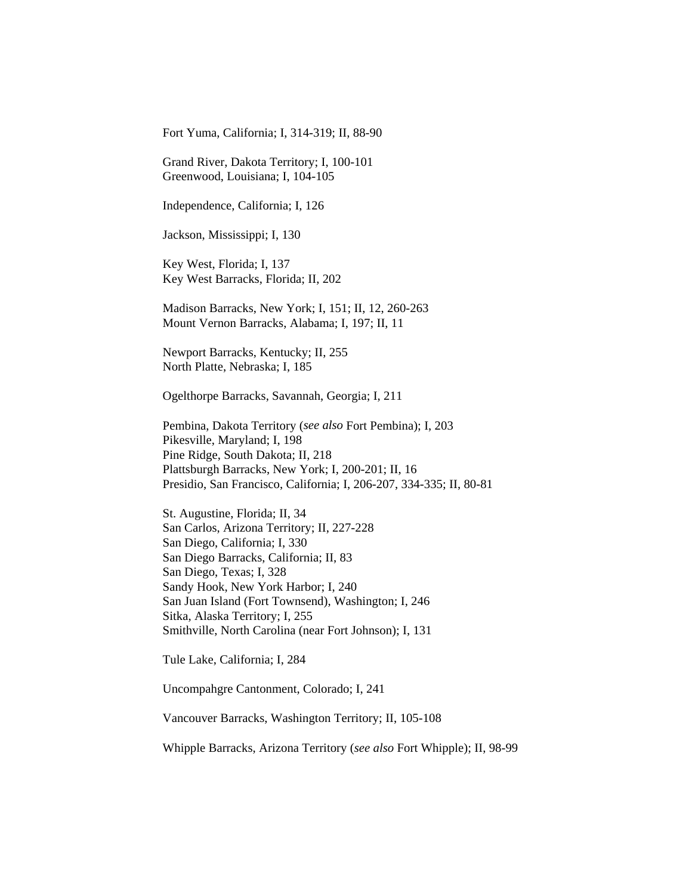Fort Yuma, California; I, 314-319; II, 88-90

Grand River, Dakota Territory; I, 100-101 Greenwood, Louisiana; I, 104-105

Independence, California; I, 126

Jackson, Mississippi; I, 130

Key West, Florida; I, 137 Key West Barracks, Florida; II, 202

Madison Barracks, New York; I, 151; II, 12, 260-263 Mount Vernon Barracks, Alabama; I, 197; II, 11

Newport Barracks, Kentucky; II, 255 North Platte, Nebraska; I, 185

Ogelthorpe Barracks, Savannah, Georgia; I, 211

Pembina, Dakota Territory (*see also* Fort Pembina); I, 203 Pikesville, Maryland; I, 198 Pine Ridge, South Dakota; II, 218 Plattsburgh Barracks, New York; I, 200-201; II, 16 Presidio, San Francisco, California; I, 206-207, 334-335; II, 80-81

St. Augustine, Florida; II, 34 San Carlos, Arizona Territory; II, 227-228 San Diego, California; I, 330 San Diego Barracks, California; II, 83 San Diego, Texas; I, 328 Sandy Hook, New York Harbor; I, 240 San Juan Island (Fort Townsend), Washington; I, 246 Sitka, Alaska Territory; I, 255 Smithville, North Carolina (near Fort Johnson); I, 131

Tule Lake, California; I, 284

Uncompahgre Cantonment, Colorado; I, 241

Vancouver Barracks, Washington Territory; II, 105-108

Whipple Barracks, Arizona Territory (*see also* Fort Whipple); II, 98-99